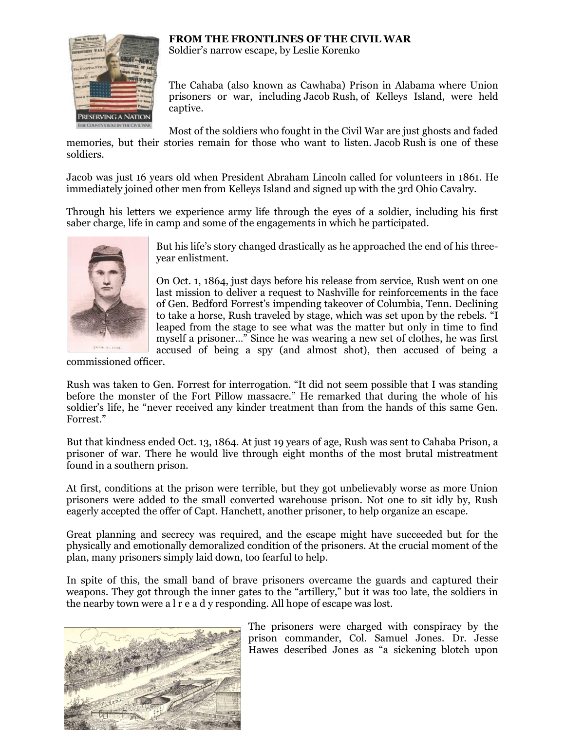## **FROM THE FRONTLINES OF THE CIVIL WAR**



Soldier's narrow escape, by Leslie Korenko

The Cahaba (also known as Cawhaba) Prison in Alabama where Union prisoners or war, including Jacob Rush, of Kelleys Island, were held captive.

Most of the soldiers who fought in the Civil War are just ghosts and faded

memories, but their stories remain for those who want to listen. Jacob Rush is one of these soldiers.

Jacob was just 16 years old when President Abraham Lincoln called for volunteers in 1861. He immediately joined other men from Kelleys Island and signed up with the 3rd Ohio Cavalry.

Through his letters we experience army life through the eyes of a soldier, including his first saber charge, life in camp and some of the engagements in which he participated.



But his life's story changed drastically as he approached the end of his threeyear enlistment.

On Oct. 1, 1864, just days before his release from service, Rush went on one last mission to deliver a request to Nashville for reinforcements in the face of Gen. Bedford Forrest's impending takeover of Columbia, Tenn. Declining to take a horse, Rush traveled by stage, which was set upon by the rebels. "I leaped from the stage to see what was the matter but only in time to find myself a prisoner…" Since he was wearing a new set of clothes, he was first accused of being a spy (and almost shot), then accused of being a

commissioned officer.

Rush was taken to Gen. Forrest for interrogation. "It did not seem possible that I was standing before the monster of the Fort Pillow massacre." He remarked that during the whole of his soldier's life, he "never received any kinder treatment than from the hands of this same Gen. Forrest."

But that kindness ended Oct. 13, 1864. At just 19 years of age, Rush was sent to Cahaba Prison, a prisoner of war. There he would live through eight months of the most brutal mistreatment found in a southern prison.

At first, conditions at the prison were terrible, but they got unbelievably worse as more Union prisoners were added to the small converted warehouse prison. Not one to sit idly by, Rush eagerly accepted the offer of Capt. Hanchett, another prisoner, to help organize an escape.

Great planning and secrecy was required, and the escape might have succeeded but for the physically and emotionally demoralized condition of the prisoners. At the crucial moment of the plan, many prisoners simply laid down, too fearful to help.

In spite of this, the small band of brave prisoners overcame the guards and captured their weapons. They got through the inner gates to the "artillery," but it was too late, the soldiers in the nearby town were a l r e a d y responding. All hope of escape was lost.



The prisoners were charged with conspiracy by the prison commander, Col. Samuel Jones. Dr. Jesse Hawes described Jones as "a sickening blotch upon